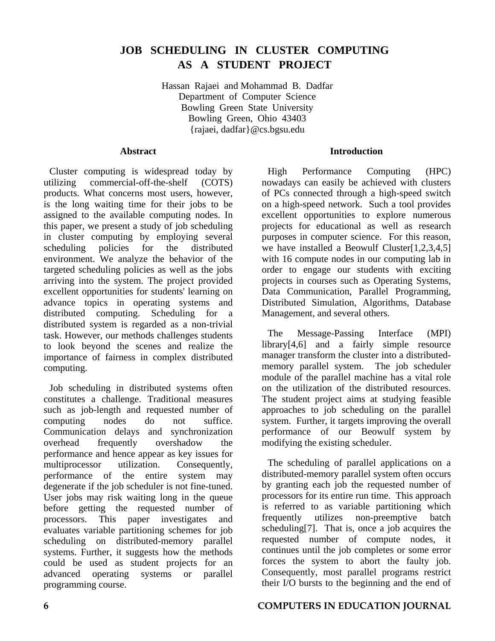# **JOB SCHEDULING IN CLUSTER COMPUTING AS A STUDENT PROJECT**

Hassan Rajaei and Mohammad B. Dadfar Department of Computer Science Bowling Green State University Bowling Green, Ohio 43403 {rajaei, dadfar}@cs.bgsu.edu

#### **Abstract**

Cluster computing is widespread today by utilizing commercial-off-the-shelf (COTS) products. What concerns most users, however, is the long waiting time for their jobs to be assigned to the available computing nodes. In this paper, we present a study of job scheduling in cluster computing by employing several scheduling policies for the distributed environment. We analyze the behavior of the targeted scheduling policies as well as the jobs arriving into the system. The project provided excellent opportunities for students' learning on advance topics in operating systems and distributed computing. Scheduling for a distributed system is regarded as a non-trivial task. However, our methods challenges students to look beyond the scenes and realize the importance of fairness in complex distributed computing.

Job scheduling in distributed systems often constitutes a challenge. Traditional measures such as job-length and requested number of computing nodes do not suffice. Communication delays and synchronization overhead frequently overshadow the performance and hence appear as key issues for multiprocessor utilization. Consequently, performance of the entire system may degenerate if the job scheduler is not fine-tuned. User jobs may risk waiting long in the queue before getting the requested number of processors. This paper investigates and evaluates variable partitioning schemes for job scheduling on distributed-memory parallel systems. Further, it suggests how the methods could be used as student projects for an advanced operating systems or parallel programming course.

#### **Introduction**

High Performance Computing (HPC) nowadays can easily be achieved with clusters of PCs connected through a high-speed switch on a high-speed network. Such a tool provides excellent opportunities to explore numerous projects for educational as well as research purposes in computer science. For this reason, we have installed a Beowulf Cluster[1,2,3,4,5] with 16 compute nodes in our computing lab in order to engage our students with exciting projects in courses such as Operating Systems, Data Communication, Parallel Programming, Distributed Simulation, Algorithms, Database Management, and several others.

The Message-Passing Interface (MPI) library[4,6] and a fairly simple resource manager transform the cluster into a distributedmemory parallel system. The job scheduler module of the parallel machine has a vital role on the utilization of the distributed resources. The student project aims at studying feasible approaches to job scheduling on the parallel system. Further, it targets improving the overall performance of our Beowulf system by modifying the existing scheduler.

The scheduling of parallel applications on a distributed-memory parallel system often occurs by granting each job the requested number of processors for its entire run time. This approach is referred to as variable partitioning which frequently utilizes non-preemptive batch scheduling[7]. That is, once a job acquires the requested number of compute nodes, it continues until the job completes or some error forces the system to abort the faulty job. Consequently, most parallel programs restrict their I/O bursts to the beginning and the end of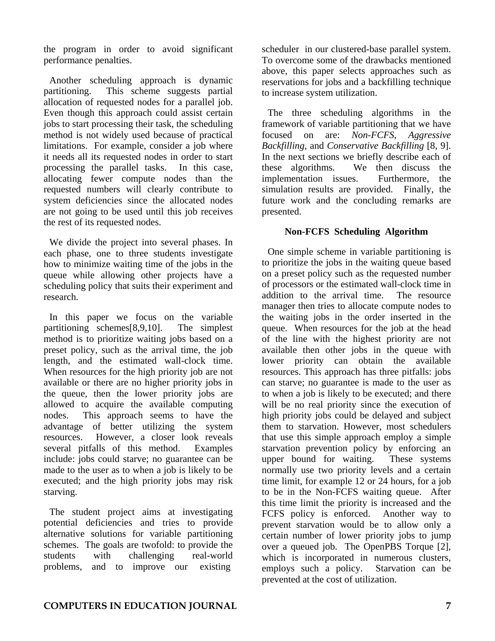the program in order to avoid significant performance penalties.

Another scheduling approach is dynamic partitioning. This scheme suggests partial allocation of requested nodes for a parallel job. Even though this approach could assist certain jobs to start processing their task, the scheduling method is not widely used because of practical limitations. For example, consider a job where it needs all its requested nodes in order to start processing the parallel tasks. In this case, allocating fewer compute nodes than the requested numbers will clearly contribute to system deficiencies since the allocated nodes are not going to be used until this job receives the rest of its requested nodes.

We divide the project into several phases. In each phase, one to three students investigate how to minimize waiting time of the jobs in the queue while allowing other projects have a scheduling policy that suits their experiment and research.

In this paper we focus on the variable partitioning schemes[8,9,10]. The simplest method is to prioritize waiting jobs based on a preset policy, such as the arrival time, the job length, and the estimated wall-clock time. When resources for the high priority job are not available or there are no higher priority jobs in the queue, then the lower priority jobs are allowed to acquire the available computing nodes. This approach seems to have the advantage of better utilizing the system resources. However, a closer look reveals several pitfalls of this method. Examples include: jobs could starve; no guarantee can be made to the user as to when a job is likely to be executed; and the high priority jobs may risk starving.

The student project aims at investigating potential deficiencies and tries to provide alternative solutions for variable partitioning schemes. The goals are twofold: to provide the students with challenging real-world problems, and to improve our existing

scheduler in our clustered-base parallel system. To overcome some of the drawbacks mentioned above, this paper selects approaches such as reservations for jobs and a backfilling technique to increase system utilization.

The three scheduling algorithms in the framework of variable partitioning that we have focused on are: *Non-FCFS*, *Aggressive Backfilling*, and *Conservative Backfilling* [8, 9]. In the next sections we briefly describe each of these algorithms. We then discuss the implementation issues. Furthermore, the simulation results are provided. Finally, the future work and the concluding remarks are presented.

#### **Non-FCFS Scheduling Algorithm**

One simple scheme in variable partitioning is to prioritize the jobs in the waiting queue based on a preset policy such as the requested number of processors or the estimated wall-clock time in addition to the arrival time. The resource manager then tries to allocate compute nodes to the waiting jobs in the order inserted in the queue. When resources for the job at the head of the line with the highest priority are not available then other jobs in the queue with lower priority can obtain the available resources. This approach has three pitfalls: jobs can starve; no guarantee is made to the user as to when a job is likely to be executed; and there will be no real priority since the execution of high priority jobs could be delayed and subject them to starvation. However, most schedulers that use this simple approach employ a simple starvation prevention policy by enforcing an upper bound for waiting. These systems normally use two priority levels and a certain time limit, for example 12 or 24 hours, for a job to be in the Non-FCFS waiting queue. After this time limit the priority is increased and the FCFS policy is enforced. Another way to prevent starvation would be to allow only a certain number of lower priority jobs to jump over a queued job. The OpenPBS Torque [2], which is incorporated in numerous clusters, employs such a policy. Starvation can be prevented at the cost of utilization.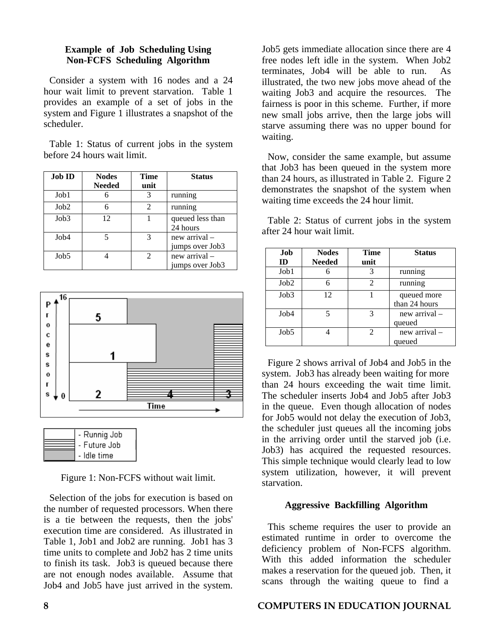#### **Example of Job Scheduling Using Non-FCFS Scheduling Algorithm**

Consider a system with 16 nodes and a 24 hour wait limit to prevent starvation. Table 1 provides an example of a set of jobs in the system and Figure 1 illustrates a snapshot of the scheduler.

Table 1: Status of current jobs in the system before 24 hours wait limit.

| <b>Job ID</b> | <b>Nodes</b><br><b>Needed</b> | Time<br>unit                | <b>Status</b>                    |
|---------------|-------------------------------|-----------------------------|----------------------------------|
| Job1          |                               | 3                           | running                          |
| Job2          | 6                             | $\mathcal{D}_{\mathcal{L}}$ | running                          |
| Job3          | 12                            |                             | queued less than<br>24 hours     |
| Job4          | 5                             | 3                           | new arrival -<br>jumps over Job3 |
| Job5          |                               | $\mathcal{D}_{\mathcal{L}}$ | new arrival –<br>jumps over Job3 |



| - Runnig Job |
|--------------|
| - Future Job |
| - Idle time  |

Figure 1: Non-FCFS without wait limit.

Selection of the jobs for execution is based on the number of requested processors. When there is a tie between the requests, then the jobs' execution time are considered. As illustrated in Table 1, Job1 and Job2 are running. Job1 has 3 time units to complete and Job2 has 2 time units to finish its task. Job3 is queued because there are not enough nodes available. Assume that Job4 and Job5 have just arrived in the system.

Job5 gets immediate allocation since there are 4 free nodes left idle in the system. When Job2 terminates, Job4 will be able to run. As illustrated, the two new jobs move ahead of the waiting Job3 and acquire the resources. The fairness is poor in this scheme. Further, if more new small jobs arrive, then the large jobs will starve assuming there was no upper bound for waiting.

Now, consider the same example, but assume that Job3 has been queued in the system more than 24 hours, as illustrated in Table 2. Figure 2 demonstrates the snapshot of the system when waiting time exceeds the 24 hour limit.

Table 2: Status of current jobs in the system after 24 hour wait limit.

| Job<br>ID        | <b>Nodes</b><br><b>Needed</b> | Time<br>unit | <b>Status</b>                |
|------------------|-------------------------------|--------------|------------------------------|
| Job1             |                               | 3            | running                      |
| Job2             |                               | 2            | running                      |
| Job3             | 12                            |              | queued more<br>than 24 hours |
| Job <sub>4</sub> |                               | 3            | new arrival $-$<br>queued    |
| Job5             |                               | 2            | new arrival –<br>queued      |

Figure 2 shows arrival of Job4 and Job5 in the system. Job3 has already been waiting for more than 24 hours exceeding the wait time limit. The scheduler inserts Job4 and Job5 after Job3 in the queue. Even though allocation of nodes for Job5 would not delay the execution of Job3, the scheduler just queues all the incoming jobs in the arriving order until the starved job (i.e. Job3) has acquired the requested resources. This simple technique would clearly lead to low system utilization, however, it will prevent starvation.

# **Aggressive Backfilling Algorithm**

This scheme requires the user to provide an estimated runtime in order to overcome the deficiency problem of Non-FCFS algorithm. With this added information the scheduler makes a reservation for the queued job. Then, it scans through the waiting queue to find a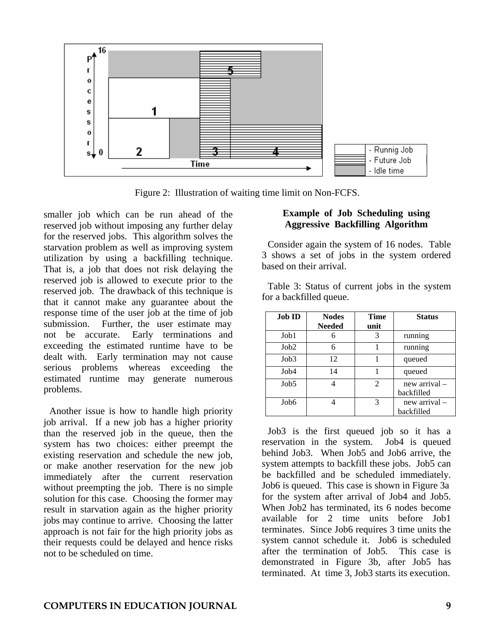

Figure 2: Illustration of waiting time limit on Non-FCFS.

smaller job which can be run ahead of the reserved job without imposing any further delay for the reserved jobs. This algorithm solves the starvation problem as well as improving system utilization by using a backfilling technique. That is, a job that does not risk delaying the reserved job is allowed to execute prior to the reserved job. The drawback of this technique is that it cannot make any guarantee about the response time of the user job at the time of job submission. Further, the user estimate may not be accurate. Early terminations and exceeding the estimated runtime have to be dealt with. Early termination may not cause serious problems whereas exceeding the estimated runtime may generate numerous problems.

Another issue is how to handle high priority job arrival. If a new job has a higher priority than the reserved job in the queue, then the system has two choices: either preempt the existing reservation and schedule the new job, or make another reservation for the new job immediately after the current reservation without preempting the job. There is no simple solution for this case. Choosing the former may result in starvation again as the higher priority jobs may continue to arrive. Choosing the latter approach is not fair for the high priority jobs as their requests could be delayed and hence risks not to be scheduled on time.

#### **Example of Job Scheduling using Aggressive Backfilling Algorithm**

Consider again the system of 16 nodes. Table 3 shows a set of jobs in the system ordered based on their arrival.

Table 3: Status of current jobs in the system for a backfilled queue.

| <b>Job ID</b>    | <b>Nodes</b>  | Time           | <b>Status</b> |
|------------------|---------------|----------------|---------------|
|                  | <b>Needed</b> | unit           |               |
| Job1             |               | 3              | running       |
| Job2             |               |                | running       |
| Job3             | 12            |                | queued        |
| Job4             | 14            |                | queued        |
| Job5             |               | $\overline{2}$ | new arrival-  |
|                  |               |                | backfilled    |
| Job <sub>6</sub> |               | 3              | new arrival – |
|                  |               |                | backfilled    |

Job3 is the first queued job so it has a reservation in the system. Job4 is queued behind Job3. When Job5 and Job6 arrive, the system attempts to backfill these jobs. Job5 can be backfilled and be scheduled immediately. Job6 is queued. This case is shown in Figure 3a for the system after arrival of Job4 and Job5. When Job2 has terminated, its 6 nodes become available for 2 time units before Job1 terminates. Since Job6 requires 3 time units the system cannot schedule it. Job6 is scheduled after the termination of Job5. This case is demonstrated in Figure 3b, after Job5 has terminated. At time 3, Job3 starts its execution.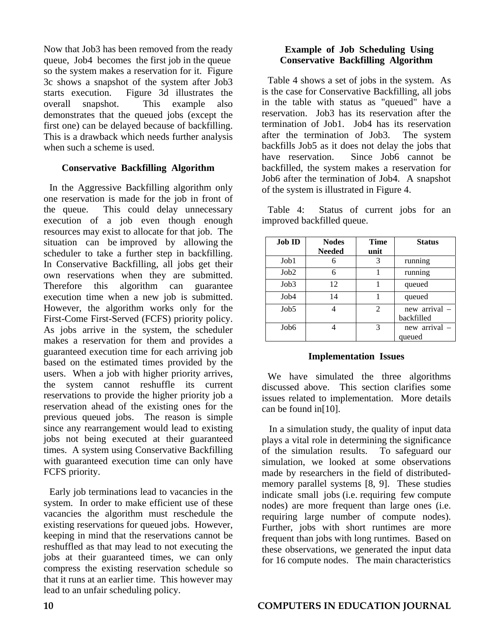Now that Job3 has been removed from the ready queue, Job4 becomes the first job in the queue so the system makes a reservation for it. Figure 3c shows a snapshot of the system after Job3 starts execution. Figure 3d illustrates the overall snapshot. This example also demonstrates that the queued jobs (except the first one) can be delayed because of backfilling. This is a drawback which needs further analysis when such a scheme is used.

#### **Conservative Backfilling Algorithm**

In the Aggressive Backfilling algorithm only one reservation is made for the job in front of the queue. This could delay unnecessary execution of a job even though enough resources may exist to allocate for that job. The situation can be improved by allowing the scheduler to take a further step in backfilling. In Conservative Backfilling, all jobs get their own reservations when they are submitted. Therefore this algorithm can guarantee execution time when a new job is submitted. However, the algorithm works only for the First-Come First-Served (FCFS) priority policy. As jobs arrive in the system, the scheduler makes a reservation for them and provides a guaranteed execution time for each arriving job based on the estimated times provided by the users. When a job with higher priority arrives, the system cannot reshuffle its current reservations to provide the higher priority job a reservation ahead of the existing ones for the previous queued jobs. The reason is simple since any rearrangement would lead to existing jobs not being executed at their guaranteed times. A system using Conservative Backfilling with guaranteed execution time can only have FCFS priority.

Early job terminations lead to vacancies in the system. In order to make efficient use of these vacancies the algorithm must reschedule the existing reservations for queued jobs. However, keeping in mind that the reservations cannot be reshuffled as that may lead to not executing the jobs at their guaranteed times, we can only compress the existing reservation schedule so that it runs at an earlier time. This however may lead to an unfair scheduling policy.

# **Example of Job Scheduling Using Conservative Backfilling Algorithm**

Table 4 shows a set of jobs in the system. As is the case for Conservative Backfilling, all jobs in the table with status as "queued" have a reservation. Job3 has its reservation after the termination of Job1. Job4 has its reservation after the termination of Job3. The system backfills Job5 as it does not delay the jobs that have reservation. Since Job6 cannot be backfilled, the system makes a reservation for Job6 after the termination of Job4. A snapshot of the system is illustrated in Figure 4.

Table 4: Status of current jobs for an improved backfilled queue.

| <b>Job ID</b>    | <b>Nodes</b><br><b>Needed</b> | Time<br>unit | <b>Status</b>               |
|------------------|-------------------------------|--------------|-----------------------------|
| Job1             |                               | 3            | running                     |
| Job2             | 6                             |              | running                     |
| Job3             | 12                            |              | queued                      |
| Job4             | 14                            |              | queued                      |
| Job5             |                               | 2            | new arrival –<br>backfilled |
| Job <sub>6</sub> |                               | 3            | new arrival –<br>queued     |

#### **Implementation Issues**

We have simulated the three algorithms discussed above. This section clarifies some issues related to implementation. More details can be found in[10].

In a simulation study, the quality of input data plays a vital role in determining the significance of the simulation results. To safeguard our simulation, we looked at some observations made by researchers in the field of distributedmemory parallel systems [8, 9]. These studies indicate small jobs (i.e. requiring few compute nodes) are more frequent than large ones (i.e. requiring large number of compute nodes). Further, jobs with short runtimes are more frequent than jobs with long runtimes. Based on these observations, we generated the input data for 16 compute nodes. The main characteristics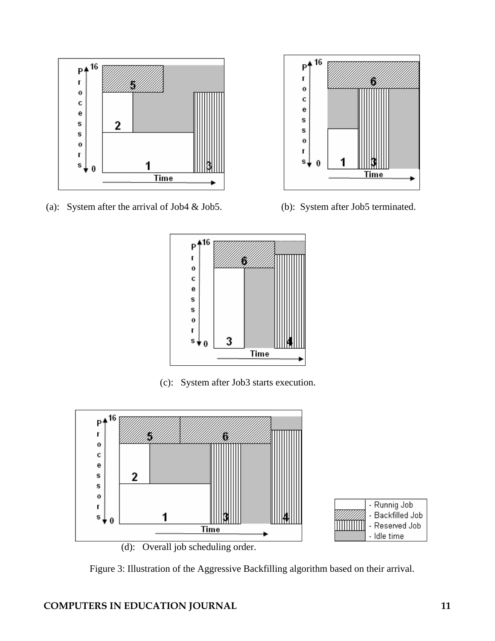

(a): System after the arrival of Job4 & Job5. (b): System after Job5 terminated.





(c): System after Job3 starts execution.



Figure 3: Illustration of the Aggressive Backfilling algorithm based on their arrival.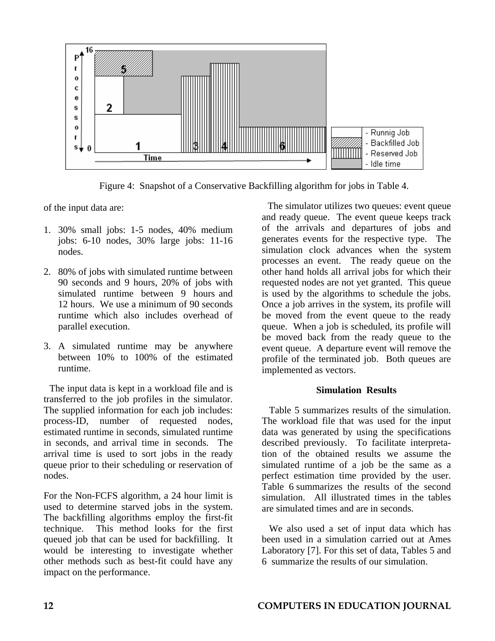

Figure 4: Snapshot of a Conservative Backfilling algorithm for jobs in Table 4.

of the input data are:

- 1. 30% small jobs: 1-5 nodes, 40% medium jobs: 6-10 nodes, 30% large jobs: 11-16 nodes.
- 2. 80% of jobs with simulated runtime between 90 seconds and 9 hours, 20% of jobs with simulated runtime between 9 hours and 12 hours. We use a minimum of 90 seconds runtime which also includes overhead of parallel execution.
- 3. A simulated runtime may be anywhere between 10% to 100% of the estimated runtime.

The input data is kept in a workload file and is transferred to the job profiles in the simulator. The supplied information for each job includes: process-ID, number of requested nodes, estimated runtime in seconds, simulated runtime in seconds, and arrival time in seconds. The arrival time is used to sort jobs in the ready queue prior to their scheduling or reservation of nodes.

For the Non-FCFS algorithm, a 24 hour limit is used to determine starved jobs in the system. The backfilling algorithms employ the first-fit technique. This method looks for the first queued job that can be used for backfilling. It would be interesting to investigate whether other methods such as best-fit could have any impact on the performance.

The simulator utilizes two queues: event queue and ready queue. The event queue keeps track of the arrivals and departures of jobs and generates events for the respective type. The simulation clock advances when the system processes an event. The ready queue on the other hand holds all arrival jobs for which their requested nodes are not yet granted. This queue is used by the algorithms to schedule the jobs. Once a job arrives in the system, its profile will be moved from the event queue to the ready queue. When a job is scheduled, its profile will be moved back from the ready queue to the event queue. A departure event will remove the profile of the terminated job. Both queues are implemented as vectors.

# **Simulation Results**

Table 5 summarizes results of the simulation. The workload file that was used for the input data was generated by using the specifications described previously. To facilitate interpretation of the obtained results we assume the simulated runtime of a job be the same as a perfect estimation time provided by the user. Table 6 summarizes the results of the second simulation. All illustrated times in the tables are simulated times and are in seconds.

We also used a set of input data which has been used in a simulation carried out at Ames Laboratory [7]. For this set of data, Tables 5 and 6 summarize the results of our simulation.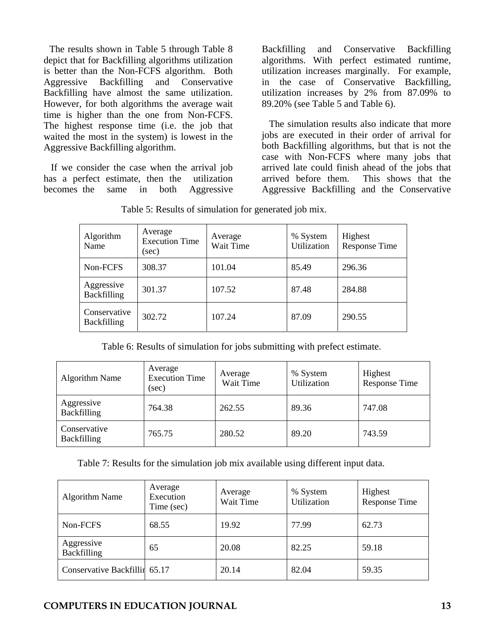The results shown in Table 5 through Table 8 depict that for Backfilling algorithms utilization is better than the Non-FCFS algorithm. Both Aggressive Backfilling and Conservative Backfilling have almost the same utilization. However, for both algorithms the average wait time is higher than the one from Non-FCFS. The highest response time (i.e. the job that waited the most in the system) is lowest in the Aggressive Backfilling algorithm.

If we consider the case when the arrival job has a perfect estimate, then the utilization becomes the same in both Aggressive

Backfilling and Conservative Backfilling algorithms. With perfect estimated runtime, utilization increases marginally. For example, in the case of Conservative Backfilling, utilization increases by 2% from 87.09% to 89.20% (see Table 5 and Table 6).

The simulation results also indicate that more jobs are executed in their order of arrival for both Backfilling algorithms, but that is not the case with Non-FCFS where many jobs that arrived late could finish ahead of the jobs that arrived before them. This shows that the Aggressive Backfilling and the Conservative

| Algorithm<br>Name                  | Average<br><b>Execution Time</b><br>(sec) | Average<br>Wait Time | % System<br>Utilization | Highest<br><b>Response Time</b> |
|------------------------------------|-------------------------------------------|----------------------|-------------------------|---------------------------------|
| Non-FCFS                           | 308.37                                    | 101.04               | 85.49                   | 296.36                          |
| Aggressive<br><b>Backfilling</b>   | 301.37                                    | 107.52               | 87.48                   | 284.88                          |
| Conservative<br><b>Backfilling</b> | 302.72                                    | 107.24               | 87.09                   | 290.55                          |

Table 5: Results of simulation for generated job mix.

Table 6: Results of simulation for jobs submitting with prefect estimate.

| <b>Algorithm Name</b>              | Average<br><b>Execution Time</b><br>(sec) | Average<br>Wait Time | % System<br>Utilization | Highest<br><b>Response Time</b> |
|------------------------------------|-------------------------------------------|----------------------|-------------------------|---------------------------------|
| Aggressive<br><b>Backfilling</b>   | 764.38                                    | 262.55               | 89.36                   | 747.08                          |
| Conservative<br><b>Backfilling</b> | 765.75                                    | 280.52               | 89.20                   | 743.59                          |

Table 7: Results for the simulation job mix available using different input data.

| <b>Algorithm Name</b>         | Average<br>Execution<br>Time (sec) | Average<br>Wait Time | % System<br>Utilization | Highest<br>Response Time |
|-------------------------------|------------------------------------|----------------------|-------------------------|--------------------------|
| Non-FCFS                      | 68.55                              | 19.92                | 77.99                   | 62.73                    |
| Aggressive<br>Backfilling     | 65                                 | 20.08                | 82.25                   | 59.18                    |
| Conservative Backfillin 65.17 |                                    | 20.14                | 82.04                   | 59.35                    |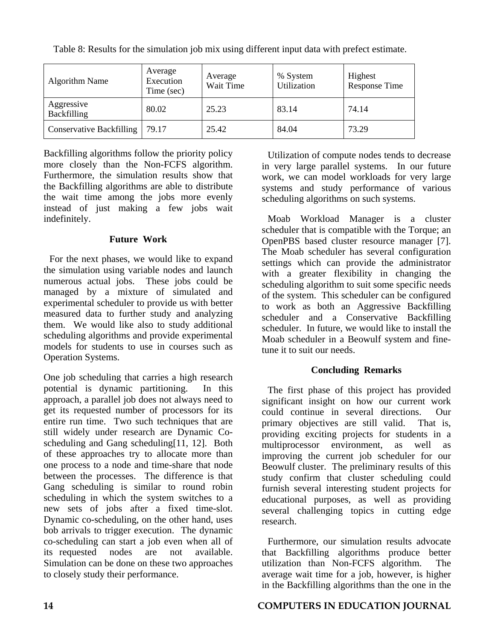| Algorithm Name                   | Average<br>Execution<br>Time (sec) | Average<br>Wait Time | % System<br>Utilization | Highest<br><b>Response Time</b> |
|----------------------------------|------------------------------------|----------------------|-------------------------|---------------------------------|
| Aggressive<br><b>Backfilling</b> | 80.02                              | 25.23                | 83.14                   | 74.14                           |
| <b>Conservative Backfilling</b>  | 79.17                              | 25.42                | 84.04                   | 73.29                           |

Table 8: Results for the simulation job mix using different input data with prefect estimate.

Backfilling algorithms follow the priority policy more closely than the Non-FCFS algorithm. Furthermore, the simulation results show that the Backfilling algorithms are able to distribute the wait time among the jobs more evenly instead of just making a few jobs wait indefinitely.

# **Future Work**

For the next phases, we would like to expand the simulation using variable nodes and launch numerous actual jobs. These jobs could be managed by a mixture of simulated and experimental scheduler to provide us with better measured data to further study and analyzing them. We would like also to study additional scheduling algorithms and provide experimental models for students to use in courses such as Operation Systems.

One job scheduling that carries a high research potential is dynamic partitioning. In this approach, a parallel job does not always need to get its requested number of processors for its entire run time. Two such techniques that are still widely under research are Dynamic Coscheduling and Gang scheduling[11, 12]. Both of these approaches try to allocate more than one process to a node and time-share that node between the processes. The difference is that Gang scheduling is similar to round robin scheduling in which the system switches to a new sets of jobs after a fixed time-slot. Dynamic co-scheduling, on the other hand, uses bob arrivals to trigger execution. The dynamic co-scheduling can start a job even when all of its requested nodes are not available. Simulation can be done on these two approaches to closely study their performance.

Utilization of compute nodes tends to decrease in very large parallel systems. In our future work, we can model workloads for very large systems and study performance of various scheduling algorithms on such systems.

Moab Workload Manager is a cluster scheduler that is compatible with the Torque; an OpenPBS based cluster resource manager [7]. The Moab scheduler has several configuration settings which can provide the administrator with a greater flexibility in changing the scheduling algorithm to suit some specific needs of the system. This scheduler can be configured to work as both an Aggressive Backfilling scheduler and a Conservative Backfilling scheduler. In future, we would like to install the Moab scheduler in a Beowulf system and finetune it to suit our needs.

# **Concluding Remarks**

The first phase of this project has provided significant insight on how our current work could continue in several directions. Our primary objectives are still valid. That is, providing exciting projects for students in a multiprocessor environment, as well as improving the current job scheduler for our Beowulf cluster. The preliminary results of this study confirm that cluster scheduling could furnish several interesting student projects for educational purposes, as well as providing several challenging topics in cutting edge research.

Furthermore, our simulation results advocate that Backfilling algorithms produce better utilization than Non-FCFS algorithm. The average wait time for a job, however, is higher in the Backfilling algorithms than the one in the